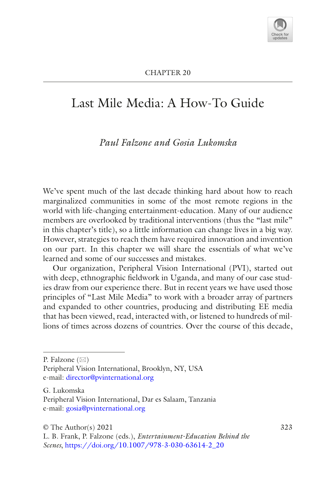# Last Mile Media: A How-To Guide

# *Paul Falzone and Gosia Lukomska*

We've spent much of the last decade thinking hard about how to reach marginalized communities in some of the most remote regions in the world with life-changing entertainment-education. Many of our audience members are overlooked by traditional interventions (thus the "last mile" in this chapter's title), so a little information can change lives in a big way. However, strategies to reach them have required innovation and invention on our part. In this chapter we will share the essentials of what we've learned and some of our successes and mistakes.

Our organization, Peripheral Vision International (PVI), started out with deep, ethnographic feldwork in Uganda, and many of our case studies draw from our experience there. But in recent years we have used those principles of "Last Mile Media" to work with a broader array of partners and expanded to other countries, producing and distributing EE media that has been viewed, read, interacted with, or listened to hundreds of millions of times across dozens of countries. Over the course of this decade,

P. Falzone  $(\boxtimes)$ 

G. Lukomska Peripheral Vision International, Dar es Salaam, Tanzania e-mail: [gosia@pvinternational.org](mailto:gosia@pvinternational.org)

Peripheral Vision International, Brooklyn, NY, USA e-mail: [director@pvinternational.org](mailto:director@pvinternational.org)

 $\circ$  The Author(s) 2021 323

L. B. Frank, P. Falzone (eds.), *Entertainment-Education Behind the Scenes*, [https://doi.org/10.1007/978-3-030-63614-2\\_20](https://doi.org/10.1007/978-3-030-63614-2_20#DOI)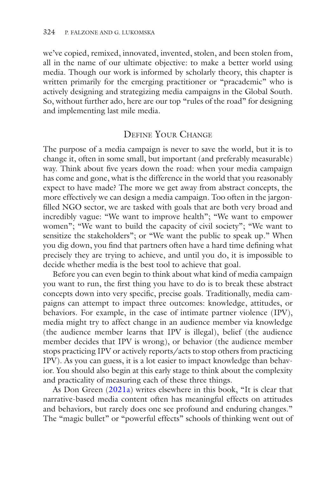we've copied, remixed, innovated, invented, stolen, and been stolen from, all in the name of our ultimate objective: to make a better world using media. Though our work is informed by scholarly theory, this chapter is written primarily for the emerging practitioner or "pracademic" who is actively designing and strategizing media campaigns in the Global South. So, without further ado, here are our top "rules of the road" for designing and implementing last mile media.

### Define Your Change

The purpose of a media campaign is never to save the world, but it is to change it, often in some small, but important (and preferably measurable) way. Think about fve years down the road: when your media campaign has come and gone, what is the difference in the world that you reasonably expect to have made? The more we get away from abstract concepts, the more effectively we can design a media campaign. Too often in the jargonflled NGO sector, we are tasked with goals that are both very broad and incredibly vague: "We want to improve health"; "We want to empower women"; "We want to build the capacity of civil society"; "We want to sensitize the stakeholders"; or "We want the public to speak up." When you dig down, you fnd that partners often have a hard time defning what precisely they are trying to achieve, and until you do, it is impossible to decide whether media is the best tool to achieve that goal.

Before you can even begin to think about what kind of media campaign you want to run, the frst thing you have to do is to break these abstract concepts down into very specifc, precise goals. Traditionally, media campaigns can attempt to impact three outcomes: knowledge, attitudes, or behaviors. For example, in the case of intimate partner violence (IPV), media might try to affect change in an audience member via knowledge (the audience member learns that IPV is illegal), belief (the audience member decides that IPV is wrong), or behavior (the audience member stops practicing IPV or actively reports/acts to stop others from practicing IPV). As you can guess, it is a lot easier to impact knowledge than behavior. You should also begin at this early stage to think about the complexity and practicality of measuring each of these three things.

As Don Green ([2021a\)](#page-13-0) writes elsewhere in this book, "It is clear that narrative-based media content often has meaningful effects on attitudes and behaviors, but rarely does one see profound and enduring changes." The "magic bullet" or "powerful effects" schools of thinking went out of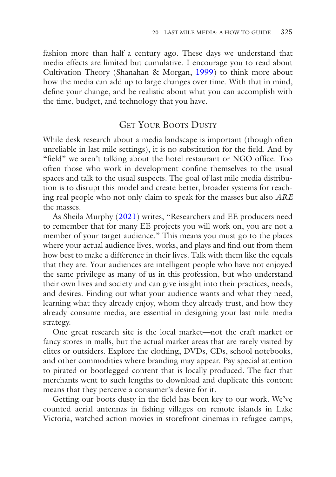fashion more than half a century ago. These days we understand that media effects are limited but cumulative. I encourage you to read about Cultivation Theory (Shanahan & Morgan, [1999\)](#page-14-0) to think more about how the media can add up to large changes over time. With that in mind, defne your change, and be realistic about what you can accomplish with the time, budget, and technology that you have.

## GET YOUR BOOTS DUSTY

While desk research about a media landscape is important (though often unreliable in last mile settings), it is no substitution for the feld. And by "field" we aren't talking about the hotel restaurant or NGO office. Too often those who work in development confne themselves to the usual spaces and talk to the usual suspects. The goal of last mile media distribution is to disrupt this model and create better, broader systems for reaching real people who not only claim to speak for the masses but also *ARE* the masses.

As Sheila Murphy [\(2021\)](#page-14-1) writes, "Researchers and EE producers need to remember that for many EE projects you will work on, you are not a member of your target audience." This means you must go to the places where your actual audience lives, works, and plays and fnd out from them how best to make a difference in their lives. Talk with them like the equals that they are. Your audiences are intelligent people who have not enjoyed the same privilege as many of us in this profession, but who understand their own lives and society and can give insight into their practices, needs, and desires. Finding out what your audience wants and what they need, learning what they already enjoy, whom they already trust, and how they already consume media, are essential in designing your last mile media strategy.

One great research site is the local market—not the craft market or fancy stores in malls, but the actual market areas that are rarely visited by elites or outsiders. Explore the clothing, DVDs, CDs, school notebooks, and other commodities where branding may appear. Pay special attention to pirated or bootlegged content that is locally produced. The fact that merchants went to such lengths to download and duplicate this content means that they perceive a consumer's desire for it.

Getting our boots dusty in the feld has been key to our work. We've counted aerial antennas in fshing villages on remote islands in Lake Victoria, watched action movies in storefront cinemas in refugee camps,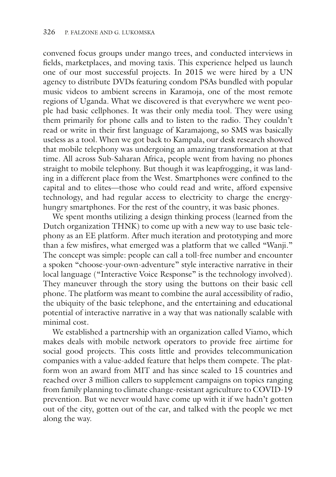convened focus groups under mango trees, and conducted interviews in felds, marketplaces, and moving taxis. This experience helped us launch one of our most successful projects. In 2015 we were hired by a UN agency to distribute DVDs featuring condom PSAs bundled with popular music videos to ambient screens in Karamoja, one of the most remote regions of Uganda. What we discovered is that everywhere we went people had basic cellphones. It was their only media tool. They were using them primarily for phone calls and to listen to the radio. They couldn't read or write in their frst language of Karamajong, so SMS was basically useless as a tool. When we got back to Kampala, our desk research showed that mobile telephony was undergoing an amazing transformation at that time. All across Sub-Saharan Africa, people went from having no phones straight to mobile telephony. But though it was leapfrogging, it was landing in a different place from the West. Smartphones were confned to the capital and to elites—those who could read and write, afford expensive technology, and had regular access to electricity to charge the energyhungry smartphones. For the rest of the country, it was basic phones.

We spent months utilizing a design thinking process (learned from the Dutch organization THNK) to come up with a new way to use basic telephony as an EE platform. After much iteration and prototyping and more than a few misfres, what emerged was a platform that we called "Wanji." The concept was simple: people can call a toll-free number and encounter a spoken "choose-your-own-adventure" style interactive narrative in their local language ("Interactive Voice Response" is the technology involved). They maneuver through the story using the buttons on their basic cell phone. The platform was meant to combine the aural accessibility of radio, the ubiquity of the basic telephone, and the entertaining and educational potential of interactive narrative in a way that was nationally scalable with minimal cost.

We established a partnership with an organization called Viamo, which makes deals with mobile network operators to provide free airtime for social good projects. This costs little and provides telecommunication companies with a value-added feature that helps them compete. The platform won an award from MIT and has since scaled to 15 countries and reached over 3 million callers to supplement campaigns on topics ranging from family planning to climate change-resistant agriculture to COVID-19 prevention. But we never would have come up with it if we hadn't gotten out of the city, gotten out of the car, and talked with the people we met along the way.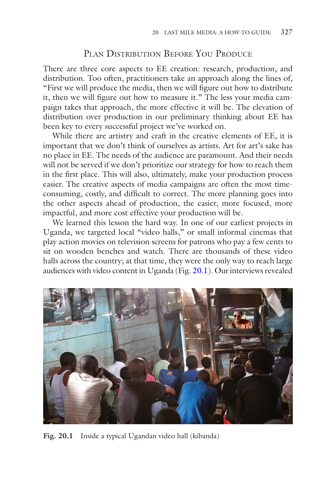### PLAN DISTRIBUTION BEFORE YOU PRODUCE

There are three core aspects to EE creation: research, production, and distribution. Too often, practitioners take an approach along the lines of, "First we will produce the media, then we will fgure out how to distribute it, then we will fgure out how to measure it." The less your media campaign takes that approach, the more effective it will be. The elevation of distribution over production in our preliminary thinking about EE has been key to every successful project we've worked on.

While there are artistry and craft in the creative elements of EE, it is important that we don't think of ourselves as artists. Art for art's sake has no place in EE. The needs of the audience are paramount. And their needs will not be served if we don't prioritize our strategy for how to reach them in the frst place. This will also, ultimately, make your production process easier. The creative aspects of media campaigns are often the most timeconsuming, costly, and diffcult to correct. The more planning goes into the other aspects ahead of production, the easier, more focused, more impactful, and more cost effective your production will be.

We learned this lesson the hard way. In one of our earliest projects in Uganda, we targeted local "video halls," or small informal cinemas that play action movies on television screens for patrons who pay a few cents to sit on wooden benches and watch. There are thousands of these video halls across the country; at that time, they were the only way to reach large audiences with video content in Uganda (Fig. [20.1\)](#page-4-0). Our interviews revealed

<span id="page-4-0"></span>

Fig. 20.1 Inside a typical Ugandan video hall (kibanda)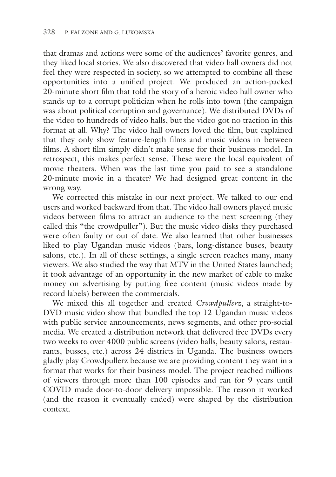that dramas and actions were some of the audiences' favorite genres, and they liked local stories. We also discovered that video hall owners did not feel they were respected in society, so we attempted to combine all these opportunities into a unifed project. We produced an action-packed 20-minute short flm that told the story of a heroic video hall owner who stands up to a corrupt politician when he rolls into town (the campaign was about political corruption and governance). We distributed DVDs of the video to hundreds of video halls, but the video got no traction in this format at all. Why? The video hall owners loved the flm, but explained that they only show feature-length flms and music videos in between flms. A short flm simply didn't make sense for their business model. In retrospect, this makes perfect sense. These were the local equivalent of movie theaters. When was the last time you paid to see a standalone 20-minute movie in a theater? We had designed great content in the wrong way.

We corrected this mistake in our next project. We talked to our end users and worked backward from that. The video hall owners played music videos between flms to attract an audience to the next screening (they called this "the crowdpuller"). But the music video disks they purchased were often faulty or out of date. We also learned that other businesses liked to play Ugandan music videos (bars, long-distance buses, beauty salons, etc.). In all of these settings, a single screen reaches many, many viewers. We also studied the way that MTV in the United States launched; it took advantage of an opportunity in the new market of cable to make money on advertising by putting free content (music videos made by record labels) between the commercials.

We mixed this all together and created *Crowdpullerz*, a straight-to-DVD music video show that bundled the top 12 Ugandan music videos with public service announcements, news segments, and other pro-social media. We created a distribution network that delivered free DVDs every two weeks to over 4000 public screens (video halls, beauty salons, restaurants, busses, etc.) across 24 districts in Uganda. The business owners gladly play Crowdpullerz because we are providing content they want in a format that works for their business model. The project reached millions of viewers through more than 100 episodes and ran for 9 years until COVID made door-to-door delivery impossible. The reason it worked (and the reason it eventually ended) were shaped by the distribution context.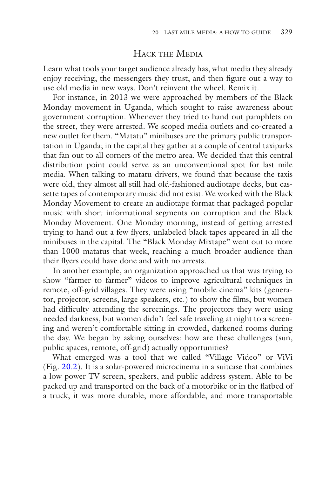### Hack the Media

Learn what tools your target audience already has, what media they already enjoy receiving, the messengers they trust, and then fgure out a way to use old media in new ways. Don't reinvent the wheel. Remix it.

For instance, in 2013 we were approached by members of the Black Monday movement in Uganda, which sought to raise awareness about government corruption. Whenever they tried to hand out pamphlets on the street, they were arrested. We scoped media outlets and co-created a new outlet for them. "Matatu" minibuses are the primary public transportation in Uganda; in the capital they gather at a couple of central taxiparks that fan out to all corners of the metro area. We decided that this central distribution point could serve as an unconventional spot for last mile media. When talking to matatu drivers, we found that because the taxis were old, they almost all still had old-fashioned audiotape decks, but cassette tapes of contemporary music did not exist. We worked with the Black Monday Movement to create an audiotape format that packaged popular music with short informational segments on corruption and the Black Monday Movement. One Monday morning, instead of getting arrested trying to hand out a few fyers, unlabeled black tapes appeared in all the minibuses in the capital. The "Black Monday Mixtape" went out to more than 1000 matatus that week, reaching a much broader audience than their flyers could have done and with no arrests.

In another example, an organization approached us that was trying to show "farmer to farmer" videos to improve agricultural techniques in remote, off-grid villages. They were using "mobile cinema" kits (generator, projector, screens, large speakers, etc.) to show the flms, but women had diffculty attending the screenings. The projectors they were using needed darkness, but women didn't feel safe traveling at night to a screening and weren't comfortable sitting in crowded, darkened rooms during the day. We began by asking ourselves: how are these challenges (sun, public spaces, remote, off-grid) actually opportunities?

What emerged was a tool that we called "Village Video" or ViVi (Fig. [20.2\)](#page-7-0). It is a solar-powered microcinema in a suitcase that combines a low power TV screen, speakers, and public address system. Able to be packed up and transported on the back of a motorbike or in the fatbed of a truck, it was more durable, more affordable, and more transportable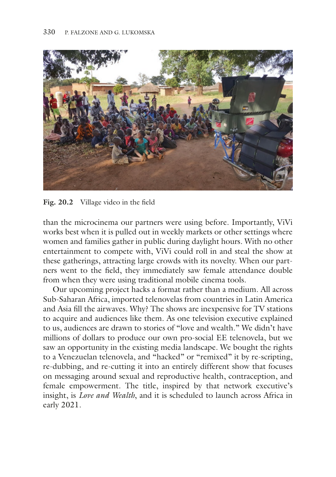<span id="page-7-0"></span>

**Fig. 20.2** Village video in the feld

than the microcinema our partners were using before. Importantly, ViVi works best when it is pulled out in weekly markets or other settings where women and families gather in public during daylight hours. With no other entertainment to compete with, ViVi could roll in and steal the show at these gatherings, attracting large crowds with its novelty. When our partners went to the feld, they immediately saw female attendance double from when they were using traditional mobile cinema tools.

Our upcoming project hacks a format rather than a medium. All across Sub-Saharan Africa, imported telenovelas from countries in Latin America and Asia fll the airwaves. Why? The shows are inexpensive for TV stations to acquire and audiences like them. As one television executive explained to us, audiences are drawn to stories of "love and wealth." We didn't have millions of dollars to produce our own pro-social EE telenovela, but we saw an opportunity in the existing media landscape. We bought the rights to a Venezuelan telenovela, and "hacked" or "remixed" it by re-scripting, re-dubbing, and re-cutting it into an entirely different show that focuses on messaging around sexual and reproductive health, contraception, and female empowerment. The title, inspired by that network executive's insight, is *Love and Wealth*, and it is scheduled to launch across Africa in early 2021.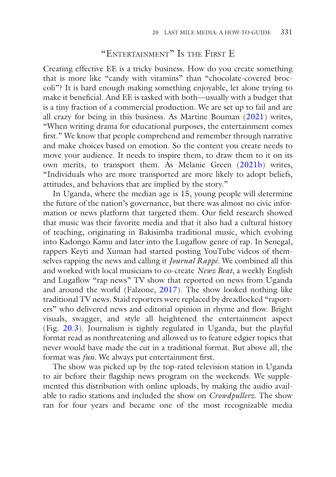#### "Entertainment" Is the First E

Creating effective EE is a tricky business. How do you create something that is more like "candy with vitamins" than "chocolate-covered broccoli"? It is hard enough making something enjoyable, let alone trying to make it benefcial. And EE is tasked with both—usually with a budget that is a tiny fraction of a commercial production. We are set up to fail and are all crazy for being in this business. As Martine Bouman ([2021\)](#page-13-1) writes, "When writing drama for educational purposes, the entertainment comes frst." We know that people comprehend and remember through narrative and make choices based on emotion. So the content you create needs to move your audience. It needs to inspire them, to draw them to it on its own merits, to transport them. As Melanie Green ([2021b\)](#page-13-2) writes, "Individuals who are more transported are more likely to adopt beliefs, attitudes, and behaviors that are implied by the story."

In Uganda, where the median age is 15, young people will determine the future of the nation's governance, but there was almost no civic information or news platform that targeted them. Our feld research showed that music was their favorite media and that it also had a cultural history of teaching, originating in Bakisimba traditional music, which evolving into Kadongo Kamu and later into the Lugafow genre of rap. In Senegal, rappers Keyti and Xuman had started posting YouTube videos of themselves rapping the news and calling it *Journal Rappé*. We combined all this and worked with local musicians to co-create *Newz Beat*, a weekly English and Lugafow "rap news" TV show that reported on news from Uganda and around the world (Falzone, [2017\)](#page-13-3). The show looked nothing like traditional TV news. Staid reporters were replaced by dreadlocked "raporters" who delivered news and editorial opinion in rhyme and fow. Bright visuals, swagger, and style all heightened the entertainment aspect (Fig. [20.3](#page-9-0)). Journalism is tightly regulated in Uganda, but the playful format read as nonthreatening and allowed us to feature edgier topics that never would have made the cut in a traditional format. But above all, the format was *fun*. We always put entertainment frst.

The show was picked up by the top-rated television station in Uganda to air before their fagship news program on the weekends. We supplemented this distribution with online uploads, by making the audio available to radio stations and included the show on *Crowdpullerz*. The show ran for four years and became one of the most recognizable media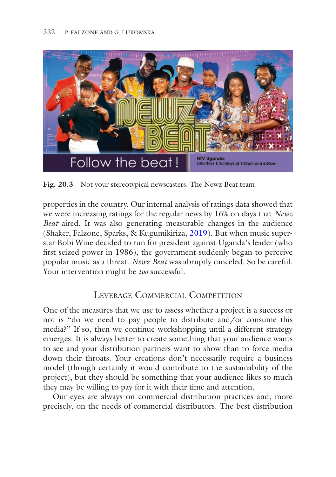<span id="page-9-0"></span>

**Fig. 20.3** Not your stereotypical newscasters. The Newz Beat team

properties in the country. Our internal analysis of ratings data showed that we were increasing ratings for the regular news by 16% on days that *Newz Beat* aired. It was also generating measurable changes in the audience (Shaker, Falzone, Sparks, & Kugumikiriza, [2019](#page-14-2)). But when music superstar Bobi Wine decided to run for president against Uganda's leader (who frst seized power in 1986), the government suddenly began to perceive popular music as a threat. *Newz Beat* was abruptly canceled. So be careful. Your intervention might be *too* successful.

# LEVERAGE COMMERCIAL COMPETITION

One of the measures that we use to assess whether a project is a success or not is "do we need to pay people to distribute and/or consume this media?" If so, then we continue workshopping until a different strategy emerges. It is always better to create something that your audience wants to see and your distribution partners want to show than to force media down their throats. Your creations don't necessarily require a business model (though certainly it would contribute to the sustainability of the project), but they should be something that your audience likes so much they may be willing to pay for it with their time and attention.

Our eyes are always on commercial distribution practices and, more precisely, on the needs of commercial distributors. The best distribution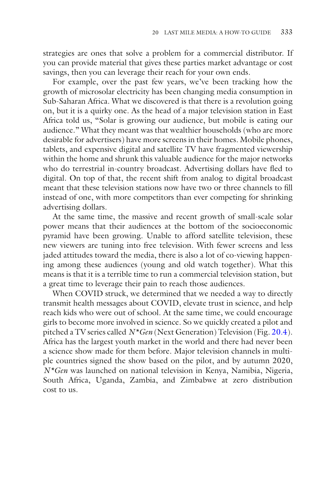strategies are ones that solve a problem for a commercial distributor. If you can provide material that gives these parties market advantage or cost savings, then you can leverage their reach for your own ends.

For example, over the past few years, we've been tracking how the growth of microsolar electricity has been changing media consumption in Sub-Saharan Africa. What we discovered is that there is a revolution going on, but it is a quirky one. As the head of a major television station in East Africa told us, "Solar is growing our audience, but mobile is eating our audience." What they meant was that wealthier households (who are more desirable for advertisers) have more screens in their homes. Mobile phones, tablets, and expensive digital and satellite TV have fragmented viewership within the home and shrunk this valuable audience for the major networks who do terrestrial in-country broadcast. Advertising dollars have fed to digital. On top of that, the recent shift from analog to digital broadcast meant that these television stations now have two or three channels to fll instead of one, with more competitors than ever competing for shrinking advertising dollars.

At the same time, the massive and recent growth of small-scale solar power means that their audiences at the bottom of the socioeconomic pyramid have been growing. Unable to afford satellite television, these new viewers are tuning into free television. With fewer screens and less jaded attitudes toward the media, there is also a lot of co-viewing happening among these audiences (young and old watch together). What this means is that it is a terrible time to run a commercial television station, but a great time to leverage their pain to reach those audiences.

When COVID struck, we determined that we needed a way to directly transmit health messages about COVID, elevate trust in science, and help reach kids who were out of school. At the same time, we could encourage girls to become more involved in science. So we quickly created a pilot and pitched a TV series called *N\*Gen* (Next Generation) Television (Fig. [20.4](#page-11-0)). Africa has the largest youth market in the world and there had never been a science show made for them before. Major television channels in multiple countries signed the show based on the pilot, and by autumn 2020, *N\*Gen* was launched on national television in Kenya, Namibia, Nigeria, South Africa, Uganda, Zambia, and Zimbabwe at zero distribution cost to us.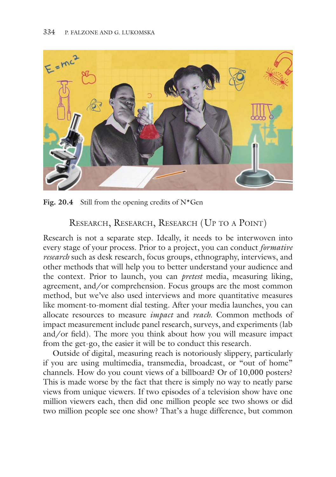<span id="page-11-0"></span>

Fig. 20.4 Still from the opening credits of N<sup>\*</sup>Gen

# Research, Research, Research (Up to a Point)

Research is not a separate step. Ideally, it needs to be interwoven into every stage of your process. Prior to a project, you can conduct *formative research* such as desk research, focus groups, ethnography, interviews, and other methods that will help you to better understand your audience and the context. Prior to launch, you can *pretest* media, measuring liking, agreement, and/or comprehension. Focus groups are the most common method, but we've also used interviews and more quantitative measures like moment-to-moment dial testing. After your media launches, you can allocate resources to measure *impact* and *reach*. Common methods of impact measurement include panel research, surveys, and experiments (lab and/or feld). The more you think about how you will measure impact from the get-go, the easier it will be to conduct this research.

Outside of digital, measuring reach is notoriously slippery, particularly if you are using multimedia, transmedia, broadcast, or "out of home" channels. How do you count views of a billboard? Or of 10,000 posters? This is made worse by the fact that there is simply no way to neatly parse views from unique viewers. If two episodes of a television show have one million viewers each, then did one million people see two shows or did two million people see one show? That's a huge difference, but common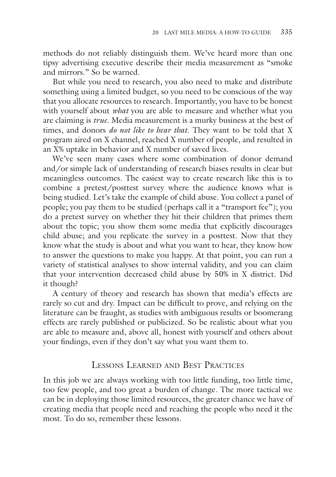methods do not reliably distinguish them. We've heard more than one tipsy advertising executive describe their media measurement as "smoke and mirrors." So be warned.

But while you need to research, you also need to make and distribute something using a limited budget, so you need to be conscious of the way that you allocate resources to research. Importantly, you have to be honest with yourself about *what* you are able to measure and whether what you are claiming is *true*. Media measurement is a murky business at the best of times, and donors *do not like to hear that*. They want to be told that X program aired on X channel, reached X number of people, and resulted in an X% uptake in behavior and X number of saved lives.

We've seen many cases where some combination of donor demand and/or simple lack of understanding of research biases results in clear but meaningless outcomes. The easiest way to create research like this is to combine a pretest/posttest survey where the audience knows what is being studied. Let's take the example of child abuse. You collect a panel of people; you pay them to be studied (perhaps call it a "transport fee"); you do a pretest survey on whether they hit their children that primes them about the topic; you show them some media that explicitly discourages child abuse; and you replicate the survey in a posttest. Now that they know what the study is about and what you want to hear, they know how to answer the questions to make you happy. At that point, you can run a variety of statistical analyses to show internal validity, and you can claim that your intervention decreased child abuse by 50% in X district. Did it though?

A century of theory and research has shown that media's effects are rarely so cut and dry. Impact can be diffcult to prove, and relying on the literature can be fraught, as studies with ambiguous results or boomerang effects are rarely published or publicized. So be realistic about what you are able to measure and, above all, honest with yourself and others about your fndings, even if they don't say what you want them to.

### Lessons Learned and Best Practices

In this job we are always working with too little funding, too little time, too few people, and too great a burden of change. The more tactical we can be in deploying those limited resources, the greater chance we have of creating media that people need and reaching the people who need it the most. To do so, remember these lessons.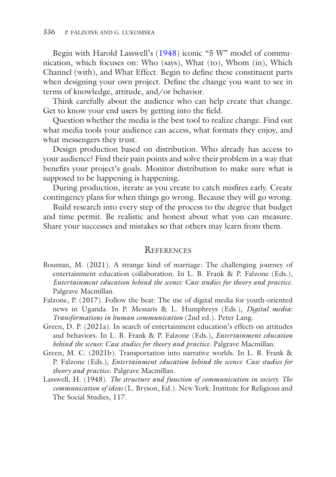Begin with Harold Lasswell's [\(1948\)](#page-13-4) iconic "5 W" model of communication, which focuses on: Who (says), What (to), Whom (in), Which Channel (with), and What Effect. Begin to defne these constituent parts when designing your own project. Defne the change you want to see in terms of knowledge, attitude, and/or behavior.

Think carefully about the audience who can help create that change. Get to know your end users by getting into the feld.

Question whether the media is the best tool to realize change. Find out what media tools your audience can access, what formats they enjoy, and what messengers they trust.

Design production based on distribution. Who already has access to your audience? Find their pain points and solve their problem in a way that benefts your project's goals. Monitor distribution to make sure what is supposed to be happening is happening.

During production, iterate as you create to catch misfres early. Create contingency plans for when things go wrong. Because they will go wrong.

Build research into every step of the process to the degree that budget and time permit. Be realistic and honest about what you can measure. Share your successes and mistakes so that others may learn from them.

#### **REFERENCES**

- <span id="page-13-1"></span>Bouman, M. (2021). A strange kind of marriage: The challenging journey of entertainment education collaboration. In L. B. Frank & P. Falzone (Eds.), *Entertainment education behind the scenes: Case studies for theory and practice*. Palgrave Macmillan.
- <span id="page-13-3"></span>Falzone, P. (2017). Follow the beat: The use of digital media for youth-oriented news in Uganda. In P. Messaris & L. Humphreys (Eds.), *Digital media: Transformations in human communication* (2nd ed.). Peter Lang.
- <span id="page-13-0"></span>Green, D. P. (2021a). In search of entertainment education's effects on attitudes and behaviors. In L. B. Frank & P. Falzone (Eds.), *Entertainment education behind the scenes: Case studies for theory and practice*. Palgrave Macmillan.
- <span id="page-13-2"></span>Green, M. C. (2021b). Transportation into narrative worlds. In L. B. Frank & P. Falzone (Eds.), *Entertainment education behind the scenes: Case studies for theory and practice*. Palgrave Macmillan.
- <span id="page-13-4"></span>Lasswell, H. (1948). *The structure and function of communication in society. The communication of ideas* (L. Bryson, Ed.). New York: Institute for Religious and The Social Studies, 117.